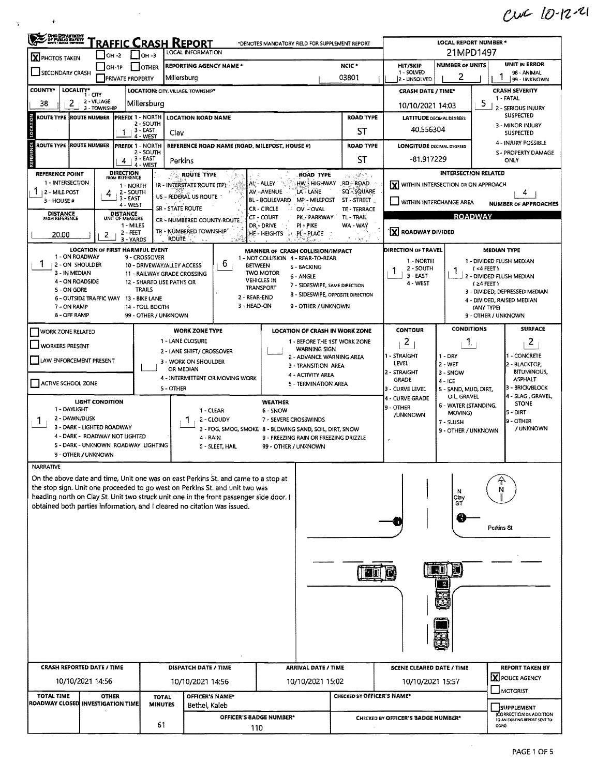$cwC10-12-21$ 

| OHIO DEPARTMENT                           | <u>'raffic Crash Report</u>                                | <b>LOCAL REPORT NUMBER*</b><br>21MPD1497                                                                          |                                                                                                                                                                    |                                                                                                                            |                                                                 |                                                        |                                                         |                                                          |  |  |
|-------------------------------------------|------------------------------------------------------------|-------------------------------------------------------------------------------------------------------------------|--------------------------------------------------------------------------------------------------------------------------------------------------------------------|----------------------------------------------------------------------------------------------------------------------------|-----------------------------------------------------------------|--------------------------------------------------------|---------------------------------------------------------|----------------------------------------------------------|--|--|
| X PHOTOS TAKEN<br>SECONDARY CRASH         | $ OH - 2 $<br>$ OH-1P$<br><b>PRIVATE PROPERTY</b>          | <b>LOCAL INFORMATION</b><br>$\frac{1}{2}$ low-3<br><b>REPORTING AGENCY NAME *</b><br><b>JOTHER</b><br>Millersburg | <b>HIT/SKIP</b><br>1 - SOLVED                                                                                                                                      | <b>NUMBER OF UNITS</b><br>2                                                                                                | <b>UNIT IN ERROR</b><br>98 - ANIMAL<br>99 - UNKNOWN             |                                                        |                                                         |                                                          |  |  |
| <b>COUNTY*</b>                            | LOCALITY* CITY                                             | LOCATION: CITY, VILLAGE, TOWNSHIP*                                                                                | 03801                                                                                                                                                              | 2 - UNSOLVED                                                                                                               | <b>CRASH SEVERITY</b><br><b>CRASH DATE / TIME*</b>              |                                                        |                                                         |                                                          |  |  |
| 2<br>38                                   | 2 - VILLAGE<br>3 - TOWNSHIP                                | Millersburg                                                                                                       | 10/10/2021 14:03                                                                                                                                                   | 1 - FATAL<br>5.<br>2 - SERIOUS INJURY                                                                                      |                                                                 |                                                        |                                                         |                                                          |  |  |
| ROUTE TYPE  ROUTE NUMBER                  | <b>PREFIX 1 - NORTH</b>                                    | <b>LOCATION ROAD NAME</b>                                                                                         | <b>LATITUDE DECIMAL DEGREES</b>                                                                                                                                    | <b>SUSPECTED</b>                                                                                                           |                                                                 |                                                        |                                                         |                                                          |  |  |
| LOCATION                                  | 1                                                          | 2 - SOUTH<br>3 - EAST<br>Clav<br>4 - WEST                                                                         |                                                                                                                                                                    |                                                                                                                            | ST                                                              | 40,556304                                              | 3 - MINOR INJURY<br>SUSPECTED                           |                                                          |  |  |
| Ω<br>ROUTE TYPE ROUTE NUMBER              | <b>PREFIX 1 - NORTH</b>                                    | 2 - SOUTH                                                                                                         | REFERENCE ROAD NAME (ROAD, MILEPOST, HOUSE #)                                                                                                                      |                                                                                                                            | <b>ROAD TYPE</b>                                                |                                                        | 4 - INJURY POSSIBLE<br><b>LONGITUDE DECIMAL DEGREES</b> |                                                          |  |  |
| REFER                                     | 4                                                          | <b>3 - EAST</b><br>Perkins<br>4 - WEST                                                                            |                                                                                                                                                                    |                                                                                                                            | <b>ST</b>                                                       | -81.917229                                             | S - PROPERTY DAMAGE<br>ONLY                             |                                                          |  |  |
| REFERENCE POINT                           | <b>DIRECTION</b><br>FROM REFERENCE                         |                                                                                                                   | <b>ROUTE TYPE</b>                                                                                                                                                  | ROAD TYPE                                                                                                                  | $\mathcal{A} \otimes \mathcal{B}$ ,<br>$\omega^+ \omega^-$      |                                                        |                                                         | INTERSECTION RELATED                                     |  |  |
| 1 - INTERSECTION<br><b>12 - MILE POST</b> | 1 - NORTH<br>2 - SOUTH                                     |                                                                                                                   | IR - INTERSTATE ROUTE (TP)                                                                                                                                         | HW: HIGHWAY<br>At - ALLEY<br>AV - AVENUE<br>LA'-LANE                                                                       | RD-ROAD.<br>SQ - SQUARE                                         | ΙXΙ                                                    | WITHIN INTERSECTION OR ON APPROACH                      | 4                                                        |  |  |
| $3 - HOUSE#$                              | 3 - EAST<br>4 - WEST                                       | SR - STATE ROUTE                                                                                                  | US - FEDERAL US ROUTE                                                                                                                                              | BL - BOULEVARD<br>MP - MILEPOST<br>CR - CIRCLE<br>OV-POVAL                                                                 | ST-STREET<br>TE - TERRACE                                       | WITHIN INTERCHANGE AREA<br><b>NUMBER OF APPROACHES</b> |                                                         |                                                          |  |  |
| <b>DISTANCE</b><br>FROM REFERENCE         | DISTANCE<br>UNIT OF MEASURE                                |                                                                                                                   | CR - NUMBERED COUNTY-ROUTE-                                                                                                                                        | CT - COURT<br>PK - PARKWAY                                                                                                 | TL-TRAIL                                                        |                                                        |                                                         | <b>ROADWAY</b>                                           |  |  |
| 20,00                                     | 1 - MILES<br>2 - FEET<br>2<br>3 - YARDS                    | <b>ROUTE</b>                                                                                                      | TR - NUMBERED TOWNSHIP                                                                                                                                             | DR - DRIVE<br>PI - PIKE<br>HE - HEIGHTS<br>PL - PLACE                                                                      | WA - WAY<br>小包头                                                 | X ROADWAY DIVIDED                                      |                                                         |                                                          |  |  |
|                                           | <b>LOCATION OF FIRST HARMFUL EVENT</b>                     |                                                                                                                   |                                                                                                                                                                    | MANNER OF CRASH COLLISION/IMPACT                                                                                           |                                                                 | DIRECTION OF TRAVEL                                    |                                                         | <b>MEDIAN TYPE</b>                                       |  |  |
| 1 - ON ROADWAY<br>1<br>2 - ON SHOULDER    |                                                            | 9 - CROSSOVER<br>10 - DRIVEWAY/ALLEY ACCESS                                                                       | 6<br><b>BETWEEN</b>                                                                                                                                                | 1 - NOT COLLISION 4 - REAR-TO-REAR<br><b>S - BACKING</b>                                                                   |                                                                 | 1 - NORTH<br>2 - SOUTH                                 |                                                         | 1 - DIVIDED FLUSH MEDIAN<br>$(4$ FEET)                   |  |  |
| 3 - IN MEDIAN<br>4 - ON ROADSIDE          |                                                            | 11 - RAILWAY GRADE CROSSING<br>12 - SHARED USE PATHS OR                                                           |                                                                                                                                                                    | <b>TWO MOTOR</b><br>6 - ANGLE<br><b>VEHICLES IN</b>                                                                        |                                                                 | 1<br>$3 - EAST$                                        |                                                         | 2 - DIVIDED FLUSH MEDIAN                                 |  |  |
| 5 - ON GORE                               |                                                            | <b>TRAILS</b>                                                                                                     |                                                                                                                                                                    | 7 - SIDESWIPE, SAME DIRECTION<br><b>TRANSPORT</b><br>8 - SIDESWIPE, OPPOSITE DIRECTION                                     |                                                                 | 4 - WEST                                               |                                                         | $(24$ FEET)<br>3 - DIVIDED, DEPRESSED MEDIAN             |  |  |
| 7 - ON RAMP                               | 6 OUTSIDE TRAFFIC WAY 13 - BIKE LANE                       | 14 - TOLL BOOTH                                                                                                   | 2 - REAR-END<br>3 - HEAD-ON                                                                                                                                        |                                                                                                                            | 4 - DIVIDED, RAISED MEDIAN<br>9 - OTHER / UNKNOWN<br>(ANY TYPE) |                                                        |                                                         |                                                          |  |  |
| 8 - OFF RAMP                              |                                                            | 9 - OTHER / UNKNOWN                                                                                               |                                                                                                                                                                    |                                                                                                                            |                                                                 |                                                        |                                                         |                                                          |  |  |
| <b>WORK ZONE RELATED</b>                  |                                                            |                                                                                                                   | <b>WORK ZONE TYPE</b><br>1 - LANE CLOSURE                                                                                                                          | LOCATION OF CRASH IN WORK ZONE                                                                                             |                                                                 | <b>CONTOUR</b><br>$\overline{2}$                       | <b>CONDITIONS</b>                                       | <b>SURFACE</b><br>2                                      |  |  |
| <b>WORKERS PRESENT</b>                    |                                                            |                                                                                                                   | 2 - LANE SHIFT/ CROSSOVER                                                                                                                                          | 1 - BEFORE THE 1ST WORK ZONE<br>$\mathbf{1}$<br><b>WARNING SIGN</b><br>1 - STRAIGHT<br>- CONCRETE<br>$1 - DRY$             |                                                                 |                                                        |                                                         |                                                          |  |  |
| LAW ENFORCEMENT PRESENT                   |                                                            |                                                                                                                   | 3 - WORK ON SHOULDER<br>OR MEDIAN                                                                                                                                  | 2 - ADVANCE WARNING AREA<br>LEVEL<br>2 - WET<br>2 - BLACKTOP,<br>3 - TRANSITION AREA<br>2 - STRAIGHT                       |                                                                 |                                                        |                                                         |                                                          |  |  |
| ACTIVE SCHOOL ZONE                        |                                                            |                                                                                                                   | 4 - INTERMITTENT OR MOVING WORK                                                                                                                                    | <b>BITUMINOUS,</b><br>3 - SNOW<br>4 - ACTIVITY AREA<br><b>ASPHALT</b><br><b>GRADE</b><br>$4 - ICE$<br>5 - TERMINATION AREA |                                                                 |                                                        |                                                         |                                                          |  |  |
|                                           |                                                            | 5 - OTHER                                                                                                         |                                                                                                                                                                    |                                                                                                                            |                                                                 | 3 - CURVE LEVEL<br>4 - CURVE GRADE                     | 5 - SAND, MUD, DIRT,<br>OIL, GRAVEL                     | 3 - BRICK/BLOCK<br>4 - SLAG, GRAVEL,                     |  |  |
| 1 - DAYLIGHT                              | LIGHT CONDITION                                            |                                                                                                                   | 1 - CLEAR                                                                                                                                                          | <b>WEATHER</b><br>6 - SNOW                                                                                                 |                                                                 | 9 - OTHER<br>/UNKNOWN                                  | 6 - WATER (STANDING,<br>MOVING)                         | <b>STONE</b><br>$5 - DIRT$                               |  |  |
| 2 - DAWN/DUSK<br>1                        | 3 - DARK - LIGHTED ROADWAY                                 |                                                                                                                   | 2 - CLOUDY<br>1                                                                                                                                                    | 7 - SEVERE CROSSWINDS                                                                                                      | 9 - OTHER<br>/ UNKNOWN                                          |                                                        |                                                         |                                                          |  |  |
|                                           | 4 - DARK - ROADWAY NOT LIGHTED                             |                                                                                                                   | 4 - RAIN                                                                                                                                                           | 3 - FOG, SMOG, SMOKE 8 - BLOWING SAND, SOIL, DIRT, SNOW<br>9 - FRÉEZING RAIN OR FREEZING DRIZZLE                           | f.                                                              | 9 - OTHER / UNKNOWN                                    |                                                         |                                                          |  |  |
|                                           | S - DARK - UNKNOWN ROADWAY LIGHTING<br>9 - OTHER / UNKNOWN |                                                                                                                   | S - SLEET, HAIL                                                                                                                                                    | 99 - OTHER / UNKNOWN                                                                                                       |                                                                 |                                                        |                                                         |                                                          |  |  |
| <b>NARRATIVE</b>                          |                                                            |                                                                                                                   |                                                                                                                                                                    |                                                                                                                            |                                                                 |                                                        |                                                         |                                                          |  |  |
|                                           |                                                            |                                                                                                                   | On the above date and time, Unit one was on east Perkins St. and came to a stop at<br>the stop sign. Unit one proceeded to go west on Perkins St. and unit two was |                                                                                                                            |                                                                 |                                                        | N                                                       | N                                                        |  |  |
|                                           |                                                            |                                                                                                                   | heading north on Clay St. Unit two struck unit one in the front passenger side door. I<br>obtained both parties information, and I cleared no citation was issued. |                                                                                                                            |                                                                 |                                                        | Clay<br>ST                                              |                                                          |  |  |
|                                           |                                                            |                                                                                                                   |                                                                                                                                                                    |                                                                                                                            |                                                                 |                                                        |                                                         |                                                          |  |  |
|                                           |                                                            |                                                                                                                   |                                                                                                                                                                    |                                                                                                                            |                                                                 |                                                        |                                                         | Perkins St                                               |  |  |
|                                           |                                                            |                                                                                                                   |                                                                                                                                                                    |                                                                                                                            |                                                                 |                                                        |                                                         |                                                          |  |  |
|                                           |                                                            |                                                                                                                   |                                                                                                                                                                    |                                                                                                                            |                                                                 |                                                        |                                                         |                                                          |  |  |
|                                           |                                                            |                                                                                                                   |                                                                                                                                                                    |                                                                                                                            |                                                                 |                                                        |                                                         |                                                          |  |  |
|                                           |                                                            |                                                                                                                   |                                                                                                                                                                    |                                                                                                                            |                                                                 |                                                        |                                                         |                                                          |  |  |
|                                           |                                                            |                                                                                                                   |                                                                                                                                                                    |                                                                                                                            |                                                                 |                                                        |                                                         |                                                          |  |  |
|                                           |                                                            |                                                                                                                   |                                                                                                                                                                    |                                                                                                                            |                                                                 |                                                        |                                                         |                                                          |  |  |
|                                           |                                                            |                                                                                                                   |                                                                                                                                                                    |                                                                                                                            |                                                                 |                                                        |                                                         |                                                          |  |  |
|                                           |                                                            |                                                                                                                   |                                                                                                                                                                    |                                                                                                                            |                                                                 |                                                        |                                                         |                                                          |  |  |
|                                           | <b>CRASH REPORTED DATE / TIME</b>                          |                                                                                                                   | DISPATCH DATE / TIME                                                                                                                                               |                                                                                                                            | <b>ARRIVAL DATE / TIME</b>                                      |                                                        |                                                         | <b>REPORT TAKEN BY</b>                                   |  |  |
|                                           | 10/10/2021 14:56                                           |                                                                                                                   | 10/10/2021 14:56                                                                                                                                                   | 10/10/2021 15:02                                                                                                           |                                                                 | 10/10/2021 15:57                                       |                                                         | X POLICE AGENCY<br>MOTORIST                              |  |  |
| <b>TOTAL TIME</b>                         | <b>OTHER</b><br><b>ROADWAY CLOSED INVESTIGATION TIME</b>   | <b>TOTAL</b><br><b>MINUTES</b>                                                                                    | OFFICER'S NAME*<br>Bethel, Kaleb                                                                                                                                   |                                                                                                                            | CHECKED BY OFFICER'S NAME*                                      |                                                        |                                                         | <b>SUPPLEMENT</b>                                        |  |  |
|                                           |                                                            |                                                                                                                   | OFFICER'S BADGE NUMBER*                                                                                                                                            |                                                                                                                            |                                                                 | CHECKED BY OFFICER'S BADGE NUMBER*                     |                                                         | (CORRECTION OR ADDITION<br>TO AN EXISTING REPORT SENT TO |  |  |
| 61<br>110                                 |                                                            |                                                                                                                   |                                                                                                                                                                    |                                                                                                                            |                                                                 |                                                        | ODPS)                                                   |                                                          |  |  |

 $\sim$   $\sim$ 

 $\sim 10$ 

 $\mathbf{v}$ 

 $\mathcal{A}^{\prime}$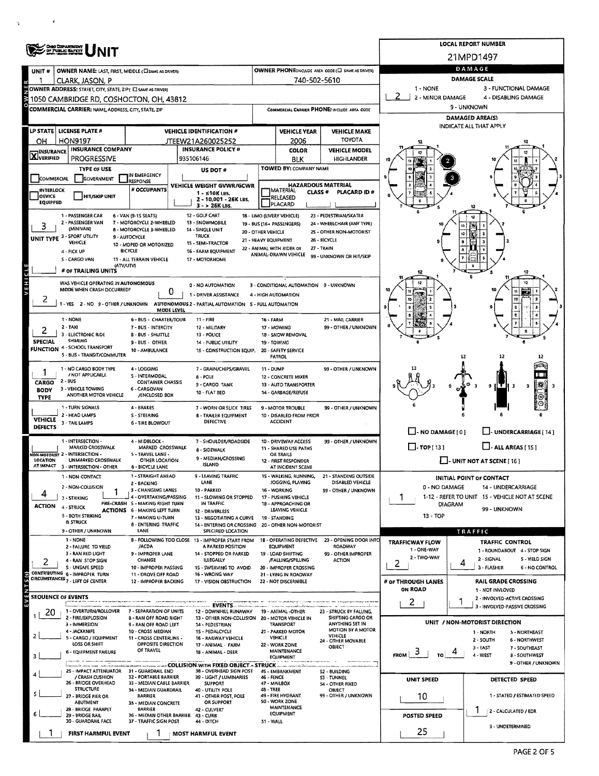|                            | <b>OHIO DEPARTMENT</b>                                                                                                                            |                                                               | <b>LOCAL REPORT NUMBER</b>                                                            |                                                          |                                                                |                                                                  |                                                                       |                                                                           |  |  |  |  |  |
|----------------------------|---------------------------------------------------------------------------------------------------------------------------------------------------|---------------------------------------------------------------|---------------------------------------------------------------------------------------|----------------------------------------------------------|----------------------------------------------------------------|------------------------------------------------------------------|-----------------------------------------------------------------------|---------------------------------------------------------------------------|--|--|--|--|--|
|                            | OF PUBLIC SAFETY                                                                                                                                  |                                                               |                                                                                       |                                                          |                                                                |                                                                  | 21MPD1497                                                             |                                                                           |  |  |  |  |  |
| UNIT#                      | <b>OWNER NAME: LAST, FIRST, MIDDLE (CI SAME AS DRIVER)</b>                                                                                        |                                                               |                                                                                       |                                                          |                                                                | OWNER PHONE:INCLUDE AREA CODE (C) SAME AS DRIVER)                |                                                                       | DAMAGE                                                                    |  |  |  |  |  |
|                            | CLARK, JASON, P                                                                                                                                   |                                                               |                                                                                       |                                                          | 740-502-5610                                                   |                                                                  | DAMAGE SCALE<br>1 - NONE<br>3 - FUNCTIONAL DAMAGE                     |                                                                           |  |  |  |  |  |
|                            | OWNER ADDRESS: STREET, CITY, STATE, ZIP( I SAME AS DRIVER)<br>2 - MINOR DAMAGE<br>4 - DISABLING DAMAGE<br>1050 CAMBRIDGE RD, COSHOCTON, OH, 43812 |                                                               |                                                                                       |                                                          |                                                                |                                                                  |                                                                       |                                                                           |  |  |  |  |  |
|                            | <b>COMMERCIAL CARRIER: NAME, ADDRESS, CITY, STATE, ZIP</b>                                                                                        |                                                               |                                                                                       |                                                          |                                                                | COMMERCIAL CARRIER PHONE: INCLUDE AREA CODE                      | 9 - UNKNOWN                                                           |                                                                           |  |  |  |  |  |
|                            |                                                                                                                                                   |                                                               |                                                                                       |                                                          |                                                                |                                                                  | <b>DAMAGED AREA(S)</b>                                                |                                                                           |  |  |  |  |  |
|                            | LP STATE   LICENSE PLATE #                                                                                                                        |                                                               | <b>VEHICLE IDENTIFICATION #</b>                                                       |                                                          | <b>VEHICLE YEAR</b>                                            | <b>VEHICLE MAKE</b>                                              |                                                                       | INDICATE ALL THAT APPLY                                                   |  |  |  |  |  |
| OН                         | <b>HON9197</b>                                                                                                                                    |                                                               | JTEEW21A260025252                                                                     | <b>TOYOTA</b><br>2006                                    |                                                                |                                                                  |                                                                       |                                                                           |  |  |  |  |  |
| <b>X</b> INSURANCE         | <b>INSURANCE COMPANY</b><br><b>PROGRESSIVE</b>                                                                                                    |                                                               | <b>INSURANCE POLICY #</b><br>935106146                                                |                                                          | <b>COLOR</b>                                                   | <b>VEHICLE MODEL</b><br>HIGHLANDER                               |                                                                       |                                                                           |  |  |  |  |  |
|                            | <b>TYPE OF USE</b>                                                                                                                                |                                                               | US DOT#                                                                               |                                                          | <b>BLK</b><br>TOWED BY: COMPANY NAME                           |                                                                  |                                                                       |                                                                           |  |  |  |  |  |
| COMMERCIAL                 | GOVERNMENT                                                                                                                                        | IN EMERGENCY<br>RESPONSE                                      |                                                                                       |                                                          |                                                                |                                                                  |                                                                       |                                                                           |  |  |  |  |  |
| <b>INTERLOCK</b>           |                                                                                                                                                   | # OCCUPANTS                                                   | VEHICLE WEIGHT GVWR/GCWR<br>1 - s10K LBS.                                             |                                                          | <b>HAZARDOUS MATERIAL</b><br><b>MATERIAL</b><br><b>CLASS #</b> | PLACARD ID#                                                      |                                                                       |                                                                           |  |  |  |  |  |
| OEVICE<br>EQUIPPED         | HIT/SKIP UNIT                                                                                                                                     |                                                               | 2 - 10,001 - 26K LBS.<br>3 - > 26K LBS.                                               |                                                          | RELEASED<br>PLACARD                                            |                                                                  |                                                                       |                                                                           |  |  |  |  |  |
|                            | 1 - PASSENGER CAR                                                                                                                                 | 6 - VAN (9-1S SEATS)                                          | 12 - GOLF CART                                                                        |                                                          | 18 - LIMO (LIVERY VEHICLE)                                     | 23 - PEDESTRIAN/SKATER                                           |                                                                       |                                                                           |  |  |  |  |  |
|                            | 2 - PASSENGER VAN<br>(MINIVAN)                                                                                                                    | 7 - MOTORCYCLE 2-WHEELED<br>8 - MOTORCYCLE 3-WHEELED          | 13 - SNOWMOBILE<br>14 - SINGLE UNIT                                                   |                                                          | 19 - BUS (16+ PASSENGERS)                                      | 24 - WHEELCHAIR (ANY TYPE)<br>25 - OTHER NON-MOTORIST            |                                                                       |                                                                           |  |  |  |  |  |
|                            | <b>UNIT TYPE 3 - SPORT UTILITY</b><br>VEHICLE                                                                                                     | 9 - AUTOCYCLE                                                 | TRUCK<br>15 - SEMI-TRACTOR                                                            | 20 - OTHER VEHICLE<br>21 - HEAVY EQUIPMENT               |                                                                | 26 - BICYCLE                                                     |                                                                       |                                                                           |  |  |  |  |  |
|                            | 4 - PICK UP                                                                                                                                       | 10 - MOPED OR MOTORIZED<br>BICYCLE                            | 16 - FARM EQUIPMENT                                                                   |                                                          | 22 - ANIMAL WITH RIDER OR<br>ANIMAL-DRAWN VEHICLE              | 27 - TRAIN                                                       |                                                                       |                                                                           |  |  |  |  |  |
|                            | S - CARGO VAN<br>(ATV/UTV)                                                                                                                        | 11 - ALL TERRAIN VEHICLE                                      | 17 - MOTORHOME                                                                        |                                                          |                                                                | 99 - UNKNOWN OR HIT/SKIP                                         |                                                                       |                                                                           |  |  |  |  |  |
|                            | # OF TRAILING UNITS                                                                                                                               |                                                               |                                                                                       |                                                          |                                                                |                                                                  |                                                                       |                                                                           |  |  |  |  |  |
| AEHICTE                    | WAS VEHICLE OPERATING IN AUTONOMOUS<br>MODE WHEN CRASH OCCURRED?                                                                                  |                                                               | 0 - NO AUTOMATION                                                                     |                                                          | 3 - CONDITIONAL AUTOMATION 9 - UNKNOWN                         |                                                                  |                                                                       |                                                                           |  |  |  |  |  |
| ۷                          |                                                                                                                                                   | 0                                                             | 1 - DRIVER ASSISTANCE                                                                 |                                                          | 4 - HIGH AUTOMATION                                            |                                                                  |                                                                       | 10                                                                        |  |  |  |  |  |
|                            |                                                                                                                                                   | <b>MODE LEVEL</b>                                             | -YES 2 - NO 9 - OTHER / UNKNOWN AUTONOMOUS 2 - PARTIAL AUTOMATION 5 - FULL AUTOMATION |                                                          |                                                                |                                                                  |                                                                       |                                                                           |  |  |  |  |  |
|                            | 1 - NONE<br>$2 - TAXI$                                                                                                                            | 6 - BUS - CHARTER/TOUR                                        | $11 - FIRE$                                                                           | <b>16 - FARM</b>                                         |                                                                | 21 - MAIL CARRIER                                                |                                                                       |                                                                           |  |  |  |  |  |
|                            | 3 - ELECTRONIC RIDE                                                                                                                               | 7 - BUS - INTERCITY<br><b>B - BUS - SHUTTLE</b>               | 12 - MILITARY<br>13 - POLICE                                                          | 99 - OTHER / UNKNOWN<br>17 - MOWING<br>18 - SNOW REMOVAL |                                                                |                                                                  |                                                                       |                                                                           |  |  |  |  |  |
| SPECIAL                    | <b>SHARING</b><br><b>FUNCTION 4 - SCHOOL TRANSPORT</b>                                                                                            | 9 - BUS - OTHER                                               | 14 - PUBLIC UTILITY                                                                   | 19 - TOWING<br>20 - SAFETY SERVICE                       |                                                                |                                                                  |                                                                       |                                                                           |  |  |  |  |  |
|                            | 5 - BUS - TRANSIT/COMMUTER                                                                                                                        | 10 - AMBULANCE                                                | 1S - CONSTRUCTION EQUIP.                                                              |                                                          | PATROL                                                         |                                                                  | 12                                                                    |                                                                           |  |  |  |  |  |
|                            | 1 - NO CARGO BODY TYPE                                                                                                                            | 4 - LOGGING                                                   | 7 - GRAIN/CHIPS/GRAVEL                                                                | 11 - DUMP                                                |                                                                | 99 - OTHER / UNKNOWN                                             |                                                                       |                                                                           |  |  |  |  |  |
| CARGO                      | / NOT APPLICABLE<br>2 - BUS                                                                                                                       | 5 - INTERMODAL<br><b>CONTAINER CHASSIS</b>                    | 8 - POLE<br>9 - CARGO TANK                                                            |                                                          | 12 - CONCRETE MIXER<br>13 - AUTO TRANSPORTER                   |                                                                  |                                                                       |                                                                           |  |  |  |  |  |
| <b>BODY</b><br><b>TYPE</b> | 3 - VEHICLE TOWING<br>ANOTHER MOTOR VEHICLE                                                                                                       | 6 - CARGOVAN<br>/ENCLOSED BOX                                 | 10 - FLAT BED                                                                         |                                                          | 14 - GARBAGE/REFUSE                                            |                                                                  |                                                                       |                                                                           |  |  |  |  |  |
|                            | 1 - TURN SIGNALS                                                                                                                                  | 4 - BRAKES                                                    | 7 - WORN OR SLICK TIRES                                                               |                                                          | 9 - MOTOR TROUBLE                                              | 99 - OTHER / UNKNOWN                                             |                                                                       |                                                                           |  |  |  |  |  |
| <b>VEHICLE</b>             | 2 - HEAD LAMPS<br>3 - TAIL LAMPS                                                                                                                  | S - STEERING<br><b>6 - TIRE BLOWOUT</b>                       | <b>B - TRAILER EQUIPMENT</b><br><b>DEFECTIVE</b>                                      |                                                          | 10 - DISABLED FROM PRIOR<br><b>ACCIDENT</b>                    |                                                                  |                                                                       |                                                                           |  |  |  |  |  |
| <b>DEFECTS</b>             |                                                                                                                                                   |                                                               |                                                                                       |                                                          |                                                                |                                                                  | $\Box$ - NO DAMAGE $[0]$                                              | U-UNDERCARRIAGE [14]                                                      |  |  |  |  |  |
|                            | 1 - INTERSECTION -<br>MARKED CROSSWALK                                                                                                            | 4 - MIDBLOCK -<br>MARKED CROSSWALK                            | 7 - SHOULDER/ROADSIDE                                                                 |                                                          | 10 - DRIVEWAY ACCESS                                           | 99 - OTHER / UNKNOWN                                             | $\Box$ . TOP [ 13 ]                                                   | $\Box$ - ALL AREAS [15]                                                   |  |  |  |  |  |
|                            | VON-MOTORIST 2 - INTERSECTION -                                                                                                                   | 5 - TRAVEL LANE -                                             | 8 - SIDEWALK<br>9 - MEDIAN/CROSSING                                                   | 11 - SHARED USE PATHS<br>OR TRAILS                       |                                                                |                                                                  | $\Box$ - UNIT NOT AT SCENE [ 16 ]                                     |                                                                           |  |  |  |  |  |
| <b>LOCATION</b>            | UNMARKED CROSSWALK<br>AT IMPACT 3 - INTERSECTION - OTHER                                                                                          | OTHER LOCATION<br><b>6 - BICYCLE LANE</b>                     | <b>ISLAND</b>                                                                         |                                                          | 12 - FIRST RESPONDER<br>AT INCIDENT SCENE                      |                                                                  |                                                                       |                                                                           |  |  |  |  |  |
|                            | 1 - NON-CONTACT                                                                                                                                   | 1 - STRAIGHT AHEAD<br>2 - BACKING                             | 9 - LEAVING TRAFFIC<br><b>LANE</b>                                                    |                                                          | JOGGING, PLAYING                                               | 15 - WALKING, RUNNING. 21 - STANDING OUTSIDE<br>DISABLED VEHICLE | INITIAL POINT OF CONTACT                                              |                                                                           |  |  |  |  |  |
|                            | 2 - NON-COLLISION                                                                                                                                 | 3 - CHANGING LANES                                            | 10 - PARKED                                                                           | 16 - WORKING<br>99 - OTHER / UNKNOWN                     |                                                                |                                                                  | 0 - NO DAMAGE                                                         | 14 - UNDERCARRIAGE                                                        |  |  |  |  |  |
| <b>ACTION</b>              | 3 - STRIKING<br>4 - STRUCK                                                                                                                        | 4 - OVERTAKING/PASSING<br>PRE-CRASH S - MAKING RIGHT TURN     | 11 - SLOWING OR STOPPED<br>IN TRAFFIC                                                 | 17 - PUSHING VEHICLE<br>18 - APPROACHING OR              |                                                                |                                                                  | 1-12 - REFER TO UNIT 15 - VEHICLE NOT AT SCENE<br>1<br><b>DIAGRAM</b> |                                                                           |  |  |  |  |  |
|                            | 5 - BOTH STRIKING                                                                                                                                 | <b>ACTIONS 6 - MAKING LEFT TURN</b><br>7 - MAKING U-TURN      | 12 - DRIVERLESS<br>13 - NEGOTIATING A CURVE                                           |                                                          | LEAVING VEHICLE<br>19 - STANDING                               |                                                                  | 99 - UNKNOWN<br>$13 - TOP$                                            |                                                                           |  |  |  |  |  |
|                            | <b><i>B. STRUCK</i></b><br>9 - OTHER / UNKNOWN                                                                                                    | 8 - ENTERING TRAFFIC<br>LANE                                  | 14 - ENTERING OR CROSSING 20 - OTHER NON-MOTORIST<br>SPECIFIED LOCATION               |                                                          |                                                                |                                                                  |                                                                       | TRAFFIC                                                                   |  |  |  |  |  |
|                            | 1 - NONE                                                                                                                                          |                                                               | B - FOLLOWING TOO CLOSE 13 - IMPROPER START FROM                                      |                                                          | 1B - OPERATING DEFECTIVE                                       | 23 - OPENING DOOR INTO                                           | TRAFFICWAY FLOW                                                       | <b>TRAFFIC CONTROL</b>                                                    |  |  |  |  |  |
|                            | 2 - FAILURE TO YIELD<br>3 - RAN RED LIGHT                                                                                                         | /ACDA<br>9 - IMPROPER LANE                                    | A PARKED POSITION<br>14 - STOPPED OR PARKED                                           |                                                          | <b>EQUIPMENT</b><br>19 - LOAD SHIFTING                         | ROADWAY<br>99 - OTHER IMPROPER                                   | 1 - ONE-WAY                                                           | 1 - ROUNDABOUT 4 - STOP SIGN                                              |  |  |  |  |  |
| 2                          | 4 - RAN STOP SIGN<br>S - UNSAFE SPEED                                                                                                             | CHANGE<br>10 - IMPROPER PASSING                               | ILLEGALLY<br>1S - SWERVING TO AVOID                                                   |                                                          | /FALLING/SPILLING<br>20 - IMPROPER CROSSING                    | <b>ACTION</b>                                                    | 2 - TWO WAY<br>2                                                      | 2 - SIGNAL<br>5 - YIELD SIGN<br>4<br>3 - FLASHER<br><b>6 - NO CONTROL</b> |  |  |  |  |  |
|                            | CONTRIBUTING 6 - IMPROPER TURN<br>CIRCUMSTANCES 7 - LEFT OF CENTER                                                                                | 11 - DROVE OFF ROAD                                           | 16 - WRONG WAY                                                                        |                                                          | 21 - LYING IN ROADWAY                                          |                                                                  |                                                                       |                                                                           |  |  |  |  |  |
|                            |                                                                                                                                                   | 12 - IMPROPER BACKING                                         | 17 - VISION OBSTRUCTION                                                               |                                                          | 22 - NOT DISCERNIBLE                                           |                                                                  | # OF THROUGH LANES<br><b>ON ROAD</b>                                  | <b>RAIL GRADE CROSSING</b><br>1 - NOT INVLOVED                            |  |  |  |  |  |
| SEQUENCE OF EVENTS         |                                                                                                                                                   |                                                               |                                                                                       |                                                          |                                                                |                                                                  | 2                                                                     | 2 - INVOLVED-ACTIVE CROSSING<br>1                                         |  |  |  |  |  |
| 20                         | 1 - OVERTURN/ROLLOVER                                                                                                                             | 7 - SEPARATION OF UNITS                                       | ---------- EVENTS------------<br>12 - DOWNHILL RUNAWAY                                |                                                          | 19 - ANIMAL -OTHER                                             | 23 - STRUCK BY FALLING.                                          |                                                                       | 3 - INVOLVED-PASSIVE CROSSING                                             |  |  |  |  |  |
|                            | 2 - FIRE/EXPLOSION<br>3 - IMMERSION                                                                                                               | 8 - RAN OFF ROAD RIGHT<br>9 - RAN OFF ROAD LEFT               | 13 - OTHER NON-COLLISION 20 - MOTOR VEHICLE IN<br>14 - PEDESTRIAN                     |                                                          | <b>TRANSPORT</b>                                               | SHIFTING CARGO OR<br>ANYTHING SET IN                             |                                                                       | UNIT / NON-MOTORIST DIRECTION                                             |  |  |  |  |  |
|                            | 4 - JACKKNIFE<br>5 - CARGO / EQUIPMENT                                                                                                            | 10 - CROSS MEDIAN<br>11 - CROSS CENTERLINE -                  | 15 - PEDALCYCLE<br>16 - RAILWAY VEHICLE                                               |                                                          | 21 - PARKED MOTOR<br>VEHICLE                                   | MOTION BY A MOTOR<br>VEHICLE                                     |                                                                       | 1 - NORTH<br>5 - NORTHEAST<br>2 - SOUTH<br>6 - NORTHWEST                  |  |  |  |  |  |
|                            | LOSS OR SHIFT<br>6 - EQUIPMENT FAILURE                                                                                                            | OPPOSITE DIRECTION<br>OF TRAVEL                               | 17 - ANIMAL - FARM<br>18 - ANIMAL - DEER                                              |                                                          | 22 - WORK ZONE<br><b>MAINTENANCE</b>                           | 24 - OTHER MOVABLE<br>OBJECT                                     |                                                                       | 3 - EAST<br>7 - SOUTHEAST                                                 |  |  |  |  |  |
| з                          |                                                                                                                                                   |                                                               |                                                                                       |                                                          | EQUIPMENT                                                      |                                                                  | ್<br><b>FROM</b><br>TO !                                              | 4 - WEST<br><b>8 - SOUTHWEST</b><br>9 - OTHER / UNKNOWN                   |  |  |  |  |  |
|                            | 2S - IMPACT ATTENUATOR 31 - GUARDRAIL END                                                                                                         |                                                               | ---- COLLISION WITH FIXED OBJECT - STRUCK.<br>38 - OVERHEAD SIGN POST                 |                                                          | 45 - EMBANKMENT                                                | <b>S2 - BUILDING</b>                                             |                                                                       |                                                                           |  |  |  |  |  |
|                            | / CRASH CUSHION<br>26 - BRIDGE OVERHEAD                                                                                                           | 32 - PORTABLE BARRIER<br>33 - MEDIAN CABLE BARRIER            | 39 - LIGHT / LUMINARIES<br><b>SUPPORT</b>                                             | 46 - FENCE                                               | 47 - MAILBOX                                                   | <b>S3 - TUNNEL</b><br>54 - OTHER FIXED                           | UNIT SPEED                                                            | DETECTED SPEED                                                            |  |  |  |  |  |
|                            | <b>STRUCTURE</b><br>27 - BRIDGE PIER OR                                                                                                           | 34 - MEDIAN GUARDRAIL<br><b>BARRIER</b>                       | 40 - UTILITY POLE<br>41 - OTHER POST, POLE                                            | 48 - TREE                                                | 49 - FIRE HYDRANT                                              | OBJECT<br>99 - OTHER / UNKNOWN                                   | 10                                                                    | 1 - STATED / ESTIMATED SPEED                                              |  |  |  |  |  |
|                            | ABUTMENT<br>28 - BRIDGE PARAPET                                                                                                                   | 35 - MEDIAN CONCRETE<br><b>BARRIER</b>                        | OR SUPPORT<br>42 - CULVERT                                                            |                                                          | 50 - WORK ZONE<br>MAINTENANCE                                  |                                                                  |                                                                       | 2 - CALCULATED / EDR                                                      |  |  |  |  |  |
|                            | 29 - BRIDGE RAIL<br>30 - GUARDRAIL FACE                                                                                                           | 36 - MEDIAN OTHER BARRIER 43 - CURB<br>37 - TRAFFIC SIGN POST | 44 - DITCH                                                                            | 51 - WALL                                                | EQUIPMENT                                                      |                                                                  | POSTED SPEED                                                          |                                                                           |  |  |  |  |  |
|                            | FIRST HARMFUL EVENT                                                                                                                               |                                                               | <b>MOST HARMFUL EVENT</b>                                                             |                                                          |                                                                |                                                                  | 25                                                                    | 3 - UNDETERMINED                                                          |  |  |  |  |  |
|                            |                                                                                                                                                   |                                                               |                                                                                       |                                                          |                                                                |                                                                  |                                                                       |                                                                           |  |  |  |  |  |

 $\epsilon$ 

 $\mathbf{r}$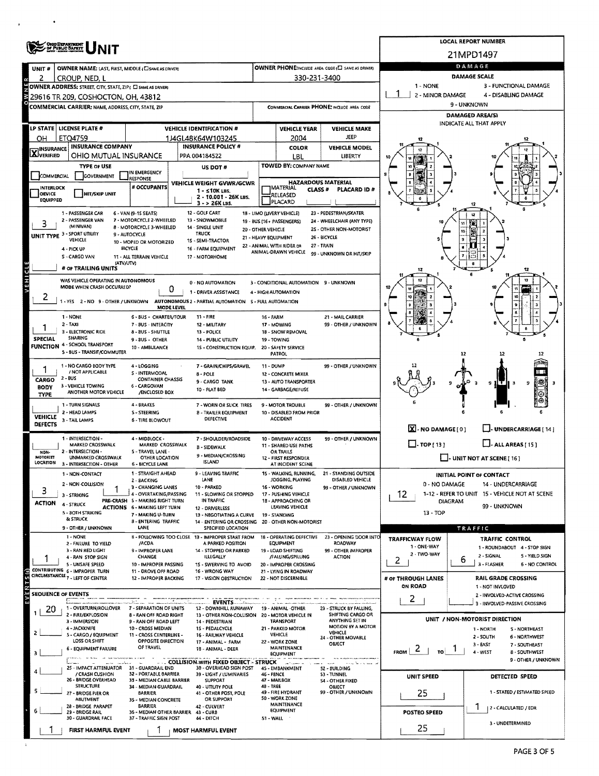|                                     | ONIG DEPARTMENT                                                    |                                                                        | LOCAL REPORT NUMBER                                                            |                      |                                                         |                                                      |                                                                   |                                                                           |  |  |  |  |  |
|-------------------------------------|--------------------------------------------------------------------|------------------------------------------------------------------------|--------------------------------------------------------------------------------|----------------------|---------------------------------------------------------|------------------------------------------------------|-------------------------------------------------------------------|---------------------------------------------------------------------------|--|--|--|--|--|
|                                     |                                                                    |                                                                        |                                                                                |                      |                                                         |                                                      | 21MPD1497                                                         |                                                                           |  |  |  |  |  |
| UNIT#                               | OWNER NAME: LAST, FIRST, MIDDLE (CI SAME AS DRIVER)                |                                                                        |                                                                                |                      |                                                         | OWNER PHONE:INCLUDE AREA CODE (E) SAME AS DRIVER)    |                                                                   | DAMAGE                                                                    |  |  |  |  |  |
| 2                                   | CROUP, NED, L                                                      |                                                                        |                                                                                |                      | 330-231-3400                                            |                                                      | <b>DAMAGE SCALE</b><br>1 - NONE                                   |                                                                           |  |  |  |  |  |
|                                     | OWNER ADDRESS: STREET, CITY, STATE, ZIP ( C) SAME AS DRIVER!       |                                                                        |                                                                                |                      |                                                         |                                                      | 3 - FUNCTIONAL DAMAGE<br>2 - MINOR DAMAGE<br>4 - DISABLING DAMAGE |                                                                           |  |  |  |  |  |
|                                     | 29616 TR 209, COSHOCTON, OH, 43812                                 |                                                                        |                                                                                |                      |                                                         |                                                      | 9 - UNKNOWN                                                       |                                                                           |  |  |  |  |  |
|                                     | COMMERCIAL CARRIER: NAME ADDRESS, CITY, STATE, ZIP                 |                                                                        |                                                                                |                      |                                                         | COMMERCIAL CARRIER PHONE: INCLUDE AREA CODE          | <b>DAMAGED AREA/S)</b>                                            |                                                                           |  |  |  |  |  |
|                                     | LP STATE LICENSE PLATE #                                           |                                                                        | <b>VEHICLE IDENTIFICATION #</b>                                                |                      | <b>VEHICLE YEAR</b>                                     | <b>VEHICLE MAKE</b>                                  | INDICATE ALL THAT APPLY                                           |                                                                           |  |  |  |  |  |
| OН                                  | ETQ4759                                                            |                                                                        | 1J4GL48K64W103245                                                              |                      | 2004                                                    | JEEP                                                 |                                                                   |                                                                           |  |  |  |  |  |
| <b>X</b> INSURANCE                  | <b>INSURANCE COMPANY</b>                                           |                                                                        | <b>INSURANCE POLICY #</b>                                                      |                      | COLOR                                                   | <b>VEHICLE MODEL</b>                                 |                                                                   |                                                                           |  |  |  |  |  |
|                                     | OHIO MUTUAL INSURANCE                                              |                                                                        | PPA 004184522                                                                  |                      | LBL                                                     | LIBERTY                                              |                                                                   |                                                                           |  |  |  |  |  |
|                                     | <b>TYPE OF USE</b>                                                 | IN EMERGENCY                                                           | US DOT#                                                                        |                      | <b>TOWED BY: COMPANY NAME</b>                           |                                                      |                                                                   |                                                                           |  |  |  |  |  |
| <b>COMMERCIAL</b>                   | GOVERNMENT                                                         | <b>RESPONSE</b><br># OCCUPANTS                                         | VEHICLE WEIGHT GVWR/GCWR                                                       |                      | <b>HAZARDOUS MATERIAL</b>                               |                                                      |                                                                   |                                                                           |  |  |  |  |  |
| INTERLOCK<br>OEVICE                 | <b>HIT/SKIP UNIT</b>                                               |                                                                        | $1 - 510K$ LBS.<br>2 - 10.001 - 26K LBS.                                       |                      | <b>IMATERIAL</b><br><b>CLASS #</b><br>RELEASED          | <b>PLACARD ID#</b>                                   |                                                                   |                                                                           |  |  |  |  |  |
| <b>EQUIPPED</b>                     |                                                                    |                                                                        | 3 - > 26K LBS.                                                                 |                      | PLACARD                                                 |                                                      |                                                                   |                                                                           |  |  |  |  |  |
|                                     | 1 - PASSENGER CAR<br>2 - PASSENGER VAN                             | 6 - VAN (9-15 SEATS)<br>7 - MOTORCYCLE 2-WHEELED                       | 12 - GOLF CART<br>13 - SNOWMOBILE                                              |                      | 18 - LIMO (LIVERY VEHICLE)<br>19 - BUS (16+ PASSENGERS) | 23 - PEDESTRIAN/SKATER<br>24 - WHEELCHAIR (ANY TYPE) |                                                                   |                                                                           |  |  |  |  |  |
|                                     | (MINIVAN)                                                          | 8 - MOTORCYCLE 3-WHEELED                                               | 14 - SINGLE UNIT                                                               | 20 - OTHER VEHICLE   |                                                         | 25 - OTHER NON-MOTORIST                              |                                                                   |                                                                           |  |  |  |  |  |
|                                     | UNIT TYPE 3 - SPORT UTILITY<br>VEHICLE                             | 9 - AUTOCYCLE<br>10 - MOPED OR MOTORIZED                               | <b>TRUCK</b><br>1S - SEMI-TRACTOR                                              | 21 - HEAVY EQUIPMENT |                                                         | 26 - BICYCLE                                         |                                                                   |                                                                           |  |  |  |  |  |
|                                     | 4 - PICK UP                                                        | <b>BICYCLE</b>                                                         | 16 - FARM EQUIPMENT                                                            |                      | 22 - ANIMAL WITH RIDER OR<br>ANIMAL-DRAWN VEHICLE       | 27 - TRAIN<br>99 - UNKNOWN OR HIT/SKIP               |                                                                   |                                                                           |  |  |  |  |  |
|                                     | S - CARGO VAN<br>(ATVAUTV)                                         | 11 - ALL TERRAIN VEHICLE                                               | 17 - MOTORHOME                                                                 |                      |                                                         |                                                      |                                                                   |                                                                           |  |  |  |  |  |
|                                     | # OF TRAILING UNITS                                                |                                                                        |                                                                                |                      |                                                         |                                                      |                                                                   |                                                                           |  |  |  |  |  |
| VEHICL                              | WAS VEHICLE OPERATING IN AUTONOMOUS<br>MODE WHEN CRASH OCCURRED?   | 0                                                                      | 0 - NO AUTOMATION                                                              |                      | 3 - CONDITIONAL AUTOMATION 9 - UNKNOWN                  |                                                      |                                                                   |                                                                           |  |  |  |  |  |
| ۷                                   | 1-YES 2-NO 9-OTHER / UNKNOWN                                       |                                                                        | 1 - DRIVER ASSISTANCE<br>AUTONOMOUS 2 - PARTIAL AUTOMATION S - FULL AUTOMATION |                      | 4 - HIGH AUTOMATION                                     |                                                      |                                                                   |                                                                           |  |  |  |  |  |
|                                     |                                                                    | MODE LEVEL                                                             |                                                                                |                      |                                                         |                                                      |                                                                   |                                                                           |  |  |  |  |  |
|                                     | 1 - NONE<br>$2 - TAXI$                                             | 6 - BUS - CHARTER/TOUR<br>7 - BUS - INTERCITY                          | 11 - FIRE                                                                      | <b>16 - FARM</b>     |                                                         | 21 - MAIL CARRIER<br>99 - OTHER / UNKNOWN            |                                                                   |                                                                           |  |  |  |  |  |
|                                     | 3 - ELECTRONIC RIDE                                                | 8 - BUS - SHUTTLE                                                      | 12 - MILITARY<br>13 - POLICE                                                   |                      | 17 - MOWING<br>18 - SNOW REMOVAL                        |                                                      |                                                                   |                                                                           |  |  |  |  |  |
| <b>SPECIAL</b>                      | <b>SHARING</b><br><b>FUNCTION 4 - SCHOOL TRANSPORT</b>             | 9 - BUS - OTHER                                                        | 14 - PUBLIC UTILITY                                                            | 19 TOWING            |                                                         |                                                      |                                                                   |                                                                           |  |  |  |  |  |
|                                     | 5 - BUS - TRANSIT/COMMUTER                                         | 10 - AMBULANCE                                                         | 1S - CONSTRUCTION EQUIP.                                                       |                      | 20 - SAFETY SERVICE<br><b>PATROL</b>                    |                                                      |                                                                   | 12                                                                        |  |  |  |  |  |
| 1                                   | 1 - NO CARGO BODY TYPE                                             | 4 - LOGGING                                                            | 7 - GRAIN/CHIPS/GRAVEL                                                         | 11 - DUMP            |                                                         | 99 - OTHER / UNKNOWN                                 |                                                                   |                                                                           |  |  |  |  |  |
| CARGO                               | / NOT APPLICABLE<br>2 - BUS                                        | 5 - INTERMODAL<br><b>CONTAINER CHASSIS</b>                             | 8 - POLE                                                                       |                      | 12 - CONCRETE MIXER                                     |                                                      |                                                                   |                                                                           |  |  |  |  |  |
| <b>BODY</b>                         | 3 - VEHICLE TOWING<br>ANOTHER MOTOR VEHICLE                        | 6 - CARGOVAN<br>/ENCLOSED BOX                                          | 9 - CARGO TANK<br>10 - FLAT BED                                                |                      | 13 - AUTO TRANSPORTER<br>14 - GARBAGE/REFUSE            |                                                      |                                                                   | 9                                                                         |  |  |  |  |  |
| <b>TYPE</b>                         | 1 - TURN SIGNALS                                                   | 4 - BRAKES                                                             |                                                                                |                      |                                                         |                                                      |                                                                   |                                                                           |  |  |  |  |  |
|                                     | 2 - HEAD LAMPS                                                     | S - STEERING                                                           | 7 - WORN OR SLICK TIRES<br><b>B - TRAILER EQUIPMENT</b>                        |                      | 9 - MOTOR TROUBLE<br>10 - DISABLED FROM PRIOR           | 99 - OTHER / UNKNOWN                                 |                                                                   |                                                                           |  |  |  |  |  |
| <b>VEHICLE</b><br>DEFECTS           | 3 - TAIL LAMPS                                                     | 6 - TIRE BLOWOUT                                                       | DEFECTIVE                                                                      |                      | <b>ACCIDENT</b>                                         |                                                      |                                                                   |                                                                           |  |  |  |  |  |
|                                     | 1 - INTERSECTION -                                                 | 4 - MIDBLOCK -                                                         | 7 - SHOULDER/ROADSIDE                                                          |                      | 10 - DRIVEWAY ACCESS                                    | 99 - OTHER / UNKNOWN                                 | X - NO DAMAGE [0]                                                 | U-UNDERCARRIAGE [14]                                                      |  |  |  |  |  |
|                                     | MARKED CROSSWALK<br>2 - INTERSECTION -                             | MARKED CROSSWALK<br>5 - TRAVEL LANE -                                  | <b>B - SIDEWALK</b>                                                            |                      | 11 - SHARED USE PATHS                                   |                                                      | $\Box$ - TOP [ 13 ]                                               | $\Box$ - ALL AREAS [15]                                                   |  |  |  |  |  |
| NON-<br>MOTORIST<br><b>LOCATION</b> | <b>UNMARKED CROSSWALK</b>                                          | OTHER LOCATION                                                         | 9 - MEDIAN/CROSSING<br><b>ISLAND</b>                                           |                      | OR TRAILS<br>12 - FIRST RESPONDER                       |                                                      |                                                                   | $\Box$ - UNIT NOT AT SCENE [ 16 ]                                         |  |  |  |  |  |
|                                     | 3 - INTERSECTION - OTHER<br>1 - NON-CONTACT                        | 6 - BICYCLE LANE<br>1 - STRAIGHT AHEAD                                 | 9 - LEAVING TRAFFIC                                                            |                      | AT INCIDENT SCENE                                       | 15 - WALKING, RUNNING, 21 - STANDING OUTSIDE         |                                                                   |                                                                           |  |  |  |  |  |
|                                     | 2 - NON-COLLISION                                                  | 2 - BACKING                                                            | LANE                                                                           |                      | JOGGING, PLAYING                                        | DISABLED VEHICLE                                     | INITIAL POINT OF CONTACT<br>0 - NO DAMAGE<br>14 - UNDERCARRIAGE   |                                                                           |  |  |  |  |  |
| 3                                   | 3 - STRIKING                                                       | 3 - CHANGING LANES<br>4 - OVERTAKING/PASSING                           | 10 - PARKED<br>11 - SLOWING OR STOPPED                                         |                      | 16 - WORKING<br>17 - PUSHING VEHICLE                    | 99 - OTHER / UNKNOWN                                 | 12                                                                | 1-12 - REFER TO UNIT 15 - VEHICLE NOT AT SCENE                            |  |  |  |  |  |
| <b>ACTION</b>                       | 4 - STRUCK                                                         | PRE-CRASH 5 - MAKING RIGHT TURN<br><b>ACTIONS 6 - MAKING LEFT TURN</b> | IN TRAFFIC<br>12 - DRIVERLESS                                                  |                      | 18 - APPROACHING OR<br>LEAVING VEHICLE                  |                                                      |                                                                   | <b>DIAGRAM</b><br>99 - UNKNOWN                                            |  |  |  |  |  |
|                                     | 5 - BOTH STRIKING<br>& STRUCK                                      | 7 - MAKING U-TURN                                                      | 13 - NEGOTIATING A CURVE                                                       |                      | 19 - STANDING                                           |                                                      | $13 - TOP$                                                        |                                                                           |  |  |  |  |  |
|                                     | 9 - OTHER / UNKNOWN                                                | <b>B-ENTERING TRAFFIC</b><br>LANE                                      | 14 - ENTERING OR CROSSING 20 - OTHER NON-MOTORIST<br>SPECIFIED LOCATION        |                      |                                                         |                                                      |                                                                   | TRAFFIC                                                                   |  |  |  |  |  |
|                                     | 1 - NONE<br>2 - FAILURE TO YIELD                                   | /ACDA                                                                  | B - FOLLOWING TOO CLOSE 13 - IMPROPER START FROM<br>A PARKED POSITION          |                      | 18 - OPERATING DEFECTIVE<br>EQUIPMENT                   | 23 - OPENING DOOR INTO<br>ROADWAY                    | <b>TRAFFICWAY FLOW</b>                                            | <b>TRAFFIC CONTROL</b>                                                    |  |  |  |  |  |
|                                     | 3 - RAN RED LIGHT                                                  | 9 - IMPROPER LANE                                                      | 14 - STOPPED OR PARKED                                                         |                      | 19 - LOAD SHIFTING                                      | 99 - OTHER IMPROPER                                  | 1 - ONE-WAY<br>2 - TWO-WAY                                        | 1 - ROUNDABOUT 4 - STOP SIGN                                              |  |  |  |  |  |
|                                     | 4 - RAN STOP SIGN<br>5 - UNSAFE SPEED                              | CHANGE<br>10 - IMPROPER PASSING                                        | ILLEGALLY<br>15 - SWERVING TO AVOID                                            |                      | /FALLING/SPILLING<br>20 - IMPROPER CROSSING             | <b>ACTION</b>                                        | 2                                                                 | 2 - SIGNAL<br>5 - YIELD SIGN<br>6<br>3 - FLASHER<br><b>6 - NO CONTROL</b> |  |  |  |  |  |
| ŝ.                                  | CONTRIBUTING 6 - IMPROPER TURN<br>CIRCUMSTANCES 7 - LEFT OF CENTER | 11 - DROVE OFF ROAD                                                    | 16 - WRONG WAY                                                                 |                      | 21 - LYING IN ROADWAY                                   |                                                      |                                                                   |                                                                           |  |  |  |  |  |
|                                     |                                                                    | 12 - IMPROPER BACKING                                                  | 17 - VISION OBSTRUCTION                                                        |                      | 22 - NOT DISCERNIBLE                                    |                                                      | # OF THROUGH LANES<br><b>ON ROAD</b>                              | RAIL GRADE CROSSING<br>1 - NOT INVLOVED                                   |  |  |  |  |  |
| <b>SEQUENCE OF EVENTS</b>           | E.                                                                 |                                                                        |                                                                                |                      |                                                         |                                                      | $\mathbf{2}$                                                      | 2 - INVOLVED-ACTIVE CROSSING                                              |  |  |  |  |  |
| 20                                  | 1 - OVERTURN/ROLLOVER                                              | 7 - SEPARATION OF UNITS                                                | 12 - DOWNHILL RUNAWAY                                                          |                      | 19 - ANIMAL -OTHER                                      | 23 - STRUCK BY FALLING,                              |                                                                   | 3 - INVOLVED-PASSIVE CROSSING                                             |  |  |  |  |  |
|                                     | 2 - FIRE/EXPLOSION<br>3 - IMMERSION                                | 8 - RAN OFF ROAD RIGHT<br>9 - RAN OFF ROAD LEFT                        | 13 - OTHER NON-COLLISION<br>14 - PEDESTRIAN                                    |                      | 20 - MOTOR VEHICLE IN<br><b>TRANSPORT</b>               | <b>SHIFTING CARGO OR</b><br>ANYTHING SET IN          |                                                                   | UNIT / NON-MOTORIST DIRECTION                                             |  |  |  |  |  |
|                                     | 4 - JACKKNIFE<br>5 - CARGO / EQUIPMENT                             | 10 - CROSS MEDIAN<br>11 - CROSS CENTERLINE -                           | 1S - PEDALCYCLE<br><b>16 - RAILWAY VEHICLE</b>                                 |                      | 21 - PARKED MOTOR<br>VEHICLE                            | MOTION BY A MOTOR<br>VEHICLE                         |                                                                   | 1 - NORTH<br>S - NORTHEAST                                                |  |  |  |  |  |
|                                     | LOSS OR SHIFT                                                      | <b>OPPOSITE DIRECTION</b><br>OF TRAVEL                                 | 17 - ANIMAL - FARM                                                             |                      | 22 - WORK ZONE                                          | 24 - OTHER MOVABLE<br>OBJECT                         |                                                                   | 2 - SOUTH<br>6 - NORTHWEST<br>3 - EAST<br>7 - SOUTHEAST                   |  |  |  |  |  |
| з                                   | <b>6 - EQUIPMENT FAILURE</b>                                       |                                                                        | 18 - ANIMAL - DEER                                                             |                      | MAINTENANCE<br><b>EQUIPMENT</b>                         |                                                      | $F_{ROM}$ $2$  <br>TQ                                             | $4 - WEST$<br>8 - SOUTHWEST                                               |  |  |  |  |  |
|                                     | and and and con-<br>25 - IMPACT ATTENUATOR 31 - GUARDRAIL END      |                                                                        | <b>COLLISION WITH FIXED OBJECT - STRUCK</b><br>38 - OVERHEAD SIGN POST         |                      | and former<br>45 - EMBANKMENT                           | 52 - BUILDING                                        |                                                                   | 9 - OTHER / UNKNOWN                                                       |  |  |  |  |  |
|                                     | / CRASH CUSHION<br>26 - BRIDGE OVERHEAD                            | 32 - PORTABLE BARRIER<br>33 - MEDIAN CABLE BARRIER                     | 39 - LIGHT / LUMINARIES<br><b>SUPPORT</b>                                      | 46 - FENCE           | 47 - MAILBOX                                            | 53 - TUNNEL<br>54 - OTHER FIXED                      | UNIT SPEED                                                        | DETECTED SPEED                                                            |  |  |  |  |  |
|                                     | <b>STRUCTURE</b>                                                   | 34 - MEDIAN GUARDRAIL                                                  | 40 - UTIUTY POLE<br>41 - OTHER POST, POLE                                      | 48 - TREE            | 49 - FIRE HYDRANT                                       | OBJECT<br>99 - OTHER / UNKNOWN                       |                                                                   | 1 - STATED / ESTIMATED SPEED                                              |  |  |  |  |  |
|                                     | 27 - BRIDGE PIER OR<br><b>ABUTMENT</b>                             | BARRIER<br>35 - MEDIAN CONCRETE                                        | OR SUPPORT                                                                     |                      | 50 - WORK ZONE<br>MAINTENANCE                           |                                                      | 25                                                                |                                                                           |  |  |  |  |  |
|                                     | 28 - BRIDGE PARAPET<br>29 - BRIDGE RAIL                            | <b>BARRIER</b><br>36 - MEDIAN OTHER BARRIER 43 - CURB                  | 42 - CULVERT                                                                   |                      | <b>EQUIPMENT</b>                                        |                                                      | POSTEO SPEED                                                      | 2 - CALCULATED / EDR                                                      |  |  |  |  |  |
|                                     | 30 - GUARDRAIL FACE                                                | 37 - TRAFFIC SIGN POST                                                 | 44 - DITCH                                                                     | 51 - WALL            |                                                         | 3 - UNDETERMINED                                     |                                                                   |                                                                           |  |  |  |  |  |
|                                     | <b>FIRST HARMFUL EVENT</b>                                         |                                                                        | <b>MOST HARMFUL EVENT</b>                                                      |                      |                                                         |                                                      | 25                                                                |                                                                           |  |  |  |  |  |

 $\bullet$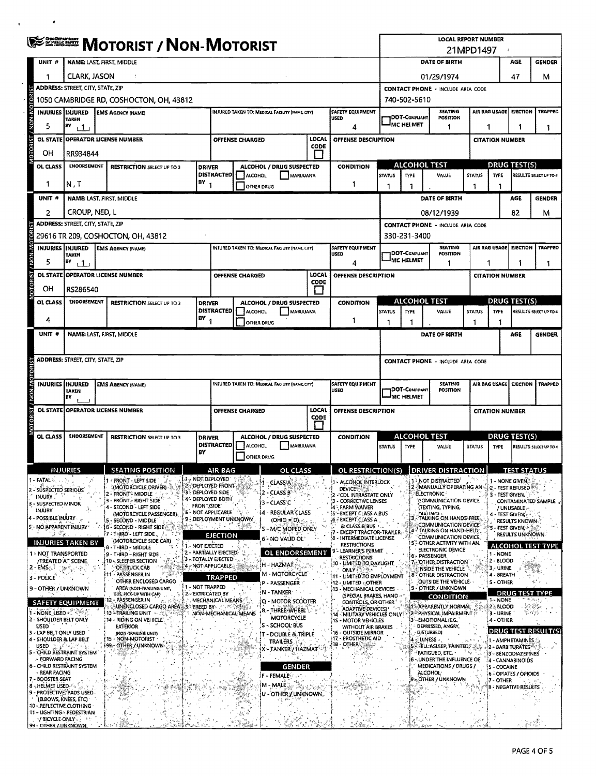|              | <b>ENERGY MOTORIST / NON-MOTORIST</b> |                                                                          |  |                                                                  |                                                                             |                                                 |                        |                                                                      |                                             | <b>LOCAL REPORT NUMBER</b><br>21MPD1497                                                                                              |                                                                                                          |                       |                                                                                        |                                                                     |                        |                                             |                                                |                          |
|--------------|---------------------------------------|--------------------------------------------------------------------------|--|------------------------------------------------------------------|-----------------------------------------------------------------------------|-------------------------------------------------|------------------------|----------------------------------------------------------------------|---------------------------------------------|--------------------------------------------------------------------------------------------------------------------------------------|----------------------------------------------------------------------------------------------------------|-----------------------|----------------------------------------------------------------------------------------|---------------------------------------------------------------------|------------------------|---------------------------------------------|------------------------------------------------|--------------------------|
|              | UNIT #                                | <b>NAME: LAST, FIRST, MIDDLE</b>                                         |  |                                                                  |                                                                             |                                                 |                        |                                                                      |                                             |                                                                                                                                      | DATE OF BIRTH                                                                                            |                       |                                                                                        |                                                                     |                        |                                             | AGE                                            | <b>GENDER</b>            |
|              |                                       | <b>CLARK, JASON</b>                                                      |  |                                                                  |                                                                             |                                                 |                        |                                                                      |                                             |                                                                                                                                      |                                                                                                          | 47<br>01/29/1974      |                                                                                        |                                                                     |                        |                                             | м                                              |                          |
|              |                                       | <b>ADDRESS: STREET, CITY, STATE, ZIP</b>                                 |  |                                                                  |                                                                             |                                                 |                        |                                                                      |                                             |                                                                                                                                      | <b>CONTACT PHONE - INCLUDE AREA CODE</b>                                                                 |                       |                                                                                        |                                                                     |                        |                                             |                                                |                          |
|              |                                       | 1050 CAMBRIDGE RD, COSHOCTON, OH, 43812                                  |  |                                                                  |                                                                             |                                                 |                        |                                                                      |                                             |                                                                                                                                      | 740-502-5610                                                                                             |                       |                                                                                        |                                                                     |                        |                                             |                                                |                          |
|              |                                       | <b>INJURIES INJURED</b><br><b>TAKEN</b>                                  |  | <b>EMS AGENCY (NAME)</b>                                         |                                                                             |                                                 |                        | INJURED TAKEN TO: MEDICAL FACILITY (NAME, CITY)                      |                                             | <b>SAFETY EQUIPMENT</b><br><b>USED</b>                                                                                               |                                                                                                          | <b>IDOT-COMPLIANT</b> |                                                                                        | <b>SEATING</b><br>POSITION                                          |                        | AIR BAG USAGE                               | <b>EJECTION</b>                                | TRAPPED                  |
|              | 5                                     | BY<br>111                                                                |  |                                                                  |                                                                             |                                                 |                        |                                                                      |                                             | 4                                                                                                                                    |                                                                                                          | <b>MC HELMET</b>      |                                                                                        | 1                                                                   | 1<br>1<br>1            |                                             |                                                |                          |
|              | <b>OL STATE</b>                       | <b>OPERATOR LICENSE NUMBER</b>                                           |  |                                                                  |                                                                             |                                                 | OFFENSE CHARGED        |                                                                      | LOCAL<br>CODE                               | OFFENSE DESCRIPTION                                                                                                                  |                                                                                                          |                       |                                                                                        |                                                                     |                        | <b>CITATION NUMBER</b>                      |                                                |                          |
|              | OН                                    | RR934844                                                                 |  |                                                                  |                                                                             |                                                 |                        |                                                                      |                                             |                                                                                                                                      |                                                                                                          | <b>ALCOHOL TEST</b>   |                                                                                        |                                                                     |                        |                                             |                                                |                          |
|              | OL CLASS                              | <b>ENOORSEMENT</b><br><b>RESTRICTION SELECT UP TO 3</b><br><b>DRIVER</b> |  |                                                                  | ALCOHOL / DRUG SUSPECTED<br><b>DISTRACTED</b><br><b>ALCOHOL</b><br>MARUUANA |                                                 |                        | <b>CONDITION</b>                                                     | <b>STATUS</b>                               | TYPE                                                                                                                                 | <b>VALUE</b>                                                                                             |                       | <b>DRUG TEST(S)</b><br><b>STATUS</b><br><b>TYPE</b><br>RESULTS SELECT UP TO 4          |                                                                     |                        |                                             |                                                |                          |
|              | 1                                     | BY<br>N.T                                                                |  |                                                                  |                                                                             |                                                 |                        | <b>OTHER DRUG</b>                                                    |                                             | 1                                                                                                                                    | 1                                                                                                        | 1                     |                                                                                        |                                                                     | -1                     | 1                                           |                                                |                          |
|              | UNIT <sub>#</sub>                     |                                                                          |  | <b>NAME: LAST, FIRST, MIDDLE</b>                                 |                                                                             |                                                 |                        |                                                                      |                                             |                                                                                                                                      | DATE OF BIRTH                                                                                            |                       |                                                                                        |                                                                     |                        |                                             | AGE                                            | <b>GENDER</b>            |
|              | 2                                     | CROUP, NED, L                                                            |  |                                                                  |                                                                             |                                                 |                        |                                                                      |                                             |                                                                                                                                      |                                                                                                          |                       | 08/12/1939                                                                             |                                                                     |                        |                                             | 82                                             | м                        |
|              |                                       | <b>ADDRESS: STREET, CITY, STATE, ZIP</b>                                 |  |                                                                  |                                                                             |                                                 |                        |                                                                      |                                             |                                                                                                                                      |                                                                                                          |                       | <b>CONTACT PHONE - INCLUDE AREA CODE</b>                                               |                                                                     |                        |                                             |                                                |                          |
| <b>DICOR</b> |                                       |                                                                          |  | 29616 TR 209, COSHOCTON, OH, 43812                               |                                                                             |                                                 |                        |                                                                      |                                             |                                                                                                                                      |                                                                                                          | 330-231-3400          |                                                                                        | <b>SEATING</b>                                                      |                        |                                             |                                                |                          |
| <b>M-NON</b> | 5                                     | <b>INJURIES IINJURED</b><br><b>TAKEN</b><br>BY<br>11                     |  | <b>EMS AGENCY (NAME)</b>                                         |                                                                             | INJURED TAKEN TO: MEDICAL FACILITY (NAME, CITY) |                        |                                                                      | <b>SAFETY EQUIPMENT</b><br><b>USED</b><br>4 |                                                                                                                                      | <b>DOT-COMPLIANT</b><br><b>MC HELMET</b>                                                                 |                       | <b>POSITION</b><br>1                                                                   | <b>EJECTION</b><br>AIR BAG USAGE<br>1                               |                        |                                             | TRAPPED<br>1                                   |                          |
|              | OL STATE                              |                                                                          |  | <b>OPERATOR LICENSE NUMBER</b>                                   |                                                                             |                                                 | <b>OFFENSE CHARGED</b> |                                                                      | LOCAL                                       | OFFENSE DESCRIPTION                                                                                                                  |                                                                                                          |                       |                                                                                        |                                                                     |                        | <b>CITATION NUMBER</b>                      |                                                |                          |
|              | OН                                    | RS286540                                                                 |  |                                                                  |                                                                             |                                                 |                        |                                                                      | CODE                                        |                                                                                                                                      |                                                                                                          |                       |                                                                                        |                                                                     |                        |                                             |                                                |                          |
|              | OL CLASS                              | <b>ENDORSEMENT</b>                                                       |  | <b>RESTRICTION SELECT UP TO 3</b>                                | <b>DRIVER</b>                                                               |                                                 |                        | ALCOHOL / DRUG SUSPECTED                                             |                                             | <b>CONDITION</b>                                                                                                                     |                                                                                                          |                       | <b>ALCOHOL TEST</b>                                                                    |                                                                     | <b>DRUG TEST(S)</b>    |                                             |                                                |                          |
|              | 4                                     |                                                                          |  |                                                                  | BY                                                                          | DISTRACTED                                      | <b>E</b> ALCOHOL       | MARUUANA                                                             |                                             | 1                                                                                                                                    | <b>STATUS</b>                                                                                            | <b>TYPE</b><br>-1     | <b>VALUE</b>                                                                           |                                                                     | <b>STATUS</b><br>-1    | <b>TYPE</b><br>1                            |                                                | RESULTS SELECT UP TO 4   |
|              | UNIT #                                |                                                                          |  | NAME: LAST, FIRST, MIDDLE                                        |                                                                             |                                                 |                        | OTHER DRUG                                                           |                                             |                                                                                                                                      | 1                                                                                                        |                       | DATE OF BIRTH                                                                          |                                                                     |                        |                                             | AGE                                            | GENDER                   |
|              |                                       |                                                                          |  |                                                                  |                                                                             |                                                 |                        |                                                                      |                                             |                                                                                                                                      |                                                                                                          |                       |                                                                                        |                                                                     |                        |                                             |                                                |                          |
|              |                                       | <b>ADDRESS: STREET, CITY, STATE, ZIP</b>                                 |  |                                                                  |                                                                             |                                                 |                        |                                                                      |                                             |                                                                                                                                      | <b>CONTACT PHONE - INCLUDE AREA CODE</b>                                                                 |                       |                                                                                        |                                                                     |                        |                                             |                                                |                          |
|              |                                       |                                                                          |  |                                                                  |                                                                             |                                                 |                        |                                                                      |                                             |                                                                                                                                      |                                                                                                          |                       |                                                                                        |                                                                     |                        |                                             |                                                |                          |
| NON-N        |                                       | INJURIES IINJURED<br>TAKEN<br>BY                                         |  | <b>EMS AGENCY (NAME)</b>                                         |                                                                             |                                                 |                        | INJURED TAKEN TO: MEDICAL FACILITY (NAME CITY)                       |                                             | <b>SAFETY EQUIPMENT</b><br>USED                                                                                                      | <b>SEATING</b><br><b>DOT-COMPLIANT</b><br>POSITION<br>MC HELMET                                          |                       |                                                                                        |                                                                     |                        | AIR BAG USAGE<br><b>EJECTION</b><br>TRAPPED |                                                |                          |
|              | <b>OL STATE</b>                       |                                                                          |  | <b>OPERATOR LICENSE NUMBER</b>                                   |                                                                             | LOCAL<br>OFFENSE DESCRIPTION<br>OFFENSE CHARGED |                        |                                                                      |                                             |                                                                                                                                      |                                                                                                          |                       |                                                                                        |                                                                     | <b>CITATION NUMBER</b> |                                             |                                                |                          |
| õ            |                                       |                                                                          |  |                                                                  |                                                                             | <b>CODE</b>                                     |                        |                                                                      |                                             |                                                                                                                                      |                                                                                                          |                       |                                                                                        |                                                                     |                        |                                             |                                                |                          |
|              | OL CLASS                              | <b>ENDORSEMENT</b>                                                       |  | <b>RESTRICTION SELECT UP TO 3</b>                                | <b>DRIVER</b>                                                               | ALCOHOL / DRUG SUSPECTED                        |                        |                                                                      | <b>CONDITION</b>                            | <b>ALCOHOL TEST</b><br>VALUE                                                                                                         |                                                                                                          |                       |                                                                                        |                                                                     | <b>DRUG TEST(S)</b>    |                                             |                                                |                          |
|              |                                       |                                                                          |  |                                                                  | BY                                                                          | <b>DISTRACTED</b>                               | ALCOHOL                | MARIJUANA<br><b>OTHER DRUG</b>                                       |                                             |                                                                                                                                      | <b>STATUS</b>                                                                                            | TYPE                  |                                                                                        |                                                                     | <b>STATUS</b>          | TYPE                                        |                                                | RESULTS SELECT UP TO 4   |
|              |                                       | <b>INJURIES</b>                                                          |  | <b>SEATING POSITION</b>                                          |                                                                             | AIR BAG                                         |                        | OF CLASS.                                                            |                                             | OL RESTRICTION(S) DRIVER DISTRACTION                                                                                                 |                                                                                                          |                       |                                                                                        |                                                                     |                        |                                             | <b>TEST STATUS</b>                             |                          |
|              | - FATAL &                             |                                                                          |  | 1 - FRONT - LEFT SIDE<br>(MOTORCYCLE DRIVER)                     | $A_{\mathcal{D}}$ not deployed<br>2 - DEPLOYED FRONT                        |                                                 |                        | -1 - GLASSIA                                                         |                                             | 1 - Alcohol Interlock                                                                                                                |                                                                                                          |                       | <b>12 NOT DISTRACTED</b><br>2 - MANUALLY OPERATING AN                                  |                                                                     |                        | 1 - NONE GIVEN.                             | 2 - TEST REFUSED                               |                          |
|              | 2 - SUSPECTED SERIOUS<br>INJURY.      |                                                                          |  | <b>2 - FRONT - MIDDLE</b><br>3 - FRONT - RIGHT SIDE              | 3 - Deployed Side<br>4- DEPLOYED BOTH                                       |                                                 |                        | 2 - CLASS B                                                          |                                             | DEVICE:<br>-'CDL INTRASTATE ONLY<br>- CORRECTIVE LENSES                                                                              |                                                                                                          |                       | <b>ELECTRONIC</b><br>COMMUNICATION DEVICE                                              |                                                                     |                        | 3 - TEST GIVEN.                             |                                                | CONTAMINATED SAMPLE.     |
|              | 3 - SUSPECTED MINOR<br>INJURY         |                                                                          |  | - SECOND - LEFT SIDE<br>(MOTORCYCLE PASSENGER)                   | <b>FRONT/SIDE</b><br>5 - NOT APPLICABLE                                     |                                                 |                        | 3 - CLASS C<br>4 - REGULAR CLASS                                     |                                             | - FARM WAIVER<br>S – EXCEPT CLASS A BUS                                                                                              |                                                                                                          |                       | (TEXTING, TYPING,<br><b>DIALING</b>                                                    |                                                                     |                        |                                             | / UNUSABLE -<br>4 - TEST GIVENI's *            |                          |
|              | - POSSIBLE INJURY                     | 5 - NO APPARENT INJURY                                                   |  | - SECOND - MIDDLE<br>6 - SECOND - RIGHT SIDE.                    | 9 - DEPLOYMENT UNKNOWN                                                      |                                                 | 32.                    | $(OHIO = D)$<br>'S - M/C MOPED ONLY                                  |                                             | 6 - EXCEPT CLASS A<br>& CLASS B BUS                                                                                                  |                                                                                                          |                       | - TALKING ON HANDS FREE<br>COMMUNICATION DEVICE                                        |                                                                     |                        |                                             | <b>RESULTS KNOWN-</b><br>'s - Test given ' - ' |                          |
|              | $\mathbb{C} \subset \mathbb{R}$ ,     | <b>INJURIES TAKEN BY</b>                                                 |  | F7 - THIRD"- LEFT SIDE<br>73<br>(MOTORCYCLE SIDE CAR)            |                                                                             | EJECTION                                        |                        | 6 - NO VALID OL'                                                     |                                             | <b>EXCEPT TRÀCTOR-TRAILER</b><br>8 - INTERMEDIATE LICENSE                                                                            |                                                                                                          |                       | 4-TALKING ON HAND-HELD.<br><b>COMMUNICATION DEVICE.</b><br>5 - OTHER ACTIVITY WITH AN. |                                                                     |                        |                                             | <b>RESULTS UNKNOWN-</b>                        |                          |
|              |                                       | 1 - NOT TRANSPORTED                                                      |  | 8 - THIRD - MIDDLE<br>9 - THIRD - RIGHT SIDE                     | 1 - NOT EJECTED<br>2 - PARTIALLY EJECTED-                                   |                                                 |                        | <b>OL ENDORSEMENT</b>                                                |                                             | <b>RESTRICTIONS</b><br>- LEARNER'S PERMIT<br>RESTRICTIONS                                                                            |                                                                                                          |                       | ELECTRONIC DEVICE<br>6 - PASSENGER                                                     |                                                                     |                        | 1 - NONE                                    |                                                | <b>ALCOHOL TEST TYPE</b> |
| 2 - EMS      |                                       | /TREATED AT SCENE.<br>1.2.                                               |  | 10 - SLEEPER SECTION<br><b>OF TRUCK CAB</b>                      | 3 - TOTALLY EJECTED<br><b>A - NOT APPLICABLE</b>                            |                                                 |                        | <b>H - HAZMAT</b>                                                    |                                             | 10 - LIMITED TO DAYLIGHT<br>ONLY 1994                                                                                                |                                                                                                          |                       | <b>Z-OTHER DISTRACTION</b><br>INSIDE THE VEHICLE                                       |                                                                     |                        | 2 - BLOOD<br>3 - URINE                      |                                                |                          |
| 3 - POLICE   |                                       | ٠č.                                                                      |  | - PASSENGER IN<br>OTHER ENCLOSED CARGO                           |                                                                             | <b>TRAPPED</b>                                  |                        | M - MOTORCYCLE'<br>P - PASSENGER                                     |                                             | 11 - LIMITED TO EMPLOYMENT<br>12 - LIMITED - OTHER                                                                                   |                                                                                                          |                       | 8 <sup>%</sup> OTHER DISTRACTION<br>OUTSIDE THE VEHICLE.                               |                                                                     |                        | 4 - BREATH<br>S - OTHER                     |                                                |                          |
|              |                                       | 9 - OTHER / UNKNOWN                                                      |  | AREA (NON-TRAILING UNIT,<br>BUS, PICK-UP WITH CAPI               | 1 - NOT TRAPPED<br>2 - EXTRICATED BY                                        |                                                 |                        | N - TANKER                                                           |                                             | 13 - MECHANICAL DEVICES<br>(SPECIAL BRAKES, HAND                                                                                     |                                                                                                          |                       | 9 - OTHER / UNKNOWN<br>CONDITION                                                       |                                                                     |                        |                                             | <b>DRUG TEST TYPE</b>                          |                          |
|              |                                       | <b>SAFETY EQUIPMENT</b>                                                  |  | - PASSENGER IN<br>UNENCLOSED CARGO AREA 3 - FREED BY A CONTROL   |                                                                             | MECHANICAL MEANS                                |                        | <b>Q - MOTOR SCOOTER</b><br>R - THREE-WHEEL                          |                                             | CONTROLS, OR OTHER<br>ADAPTIVE DEVICES '                                                                                             |                                                                                                          |                       | <b>15. APPARENTLY NORMAL</b>                                                           |                                                                     |                        | 1 - NONE<br><b>2.8LOOD</b>                  |                                                |                          |
| <b>USED</b>  | - NONE USED                           | 2 - SHOULDER BELT ONLY                                                   |  | 13 - TRAILING UNIT<br>14 - RIDING ON VEHICLE.<br><b>EXTERIOR</b> |                                                                             |                                                 | NON-MECHANICAL MEANS   | MOTORCYCLE<br>S - SCHOOL BUS                                         |                                             | <b>1S - MOTOR VEHICLES</b>                                                                                                           | <b>2 PHYSICAL IMPAIRMENT</b><br>14 - MILITARY VEHICLES ONLY<br>3 - EMOTIONAL (E.G.,<br>DEPRESSED, ANGRY, |                       |                                                                                        |                                                                     |                        | 3 - URINE<br>4 - OTHER                      |                                                | 氯醛邻氯                     |
|              |                                       | 3 - LAP BELT ONLY USED<br>4 - SHOULDER & LAP BELT                        |  | (NON-TRAILING UNIT)<br>15 - NON-MOTORIST                         |                                                                             |                                                 |                        | <b>T - DOUBLE &amp; TRIPLE</b>                                       |                                             | WITHOUT AIR BRAKES<br>16 - OUTSIDE MIRROR<br>DISTURBED)<br>17 - PROSTHETIC AID<br>- ILLNESS                                          |                                                                                                          |                       |                                                                                        | <b>DRUG TEST RESULT(S)</b>                                          |                        |                                             |                                                |                          |
|              | USED on a strategi                    | 5 - CHILD RESTRAINT SYSTEM                                               |  | <b>99 - OTHER / UNKNOWN</b>                                      |                                                                             |                                                 |                        | <b>TRAILERS</b><br>Χ - ΤΑΝΚΕΡ / ΗΑΖΜΑΤ                               |                                             | ia - Other ≷<br>$\mathsf{B}\mathbb{R}$ fell asleep, fainted, $\mathbb{Z}_2$<br><b>FATIGUED, ETC. .</b><br>$\mathcal{H}_{\mathbf{f}}$ |                                                                                                          |                       |                                                                                        | 1 - AMPHETAMINES<br><b>12 - BARBITURATES</b><br>3 - BENZODIAZEPINES |                        |                                             |                                                |                          |
|              | - FORWARD FACING                      | 6 - CHILD RESTRAINT SYSTEM                                               |  |                                                                  |                                                                             |                                                 |                        | <b>GENDER</b>                                                        |                                             |                                                                                                                                      |                                                                                                          |                       | 6 - UNDER THE INFLUENCE OF<br>MEDICATIONS / DRUGS /                                    |                                                                     |                        | 5 - COCAINE                                 | 4 - CANNABINOIDS                               |                          |
|              | - REAR FACING<br>7 - BOOSTER SEAT     |                                                                          |  |                                                                  |                                                                             |                                                 |                        | F - FEMALE                                                           |                                             |                                                                                                                                      |                                                                                                          |                       | ALCOHOL <sup>.</sup><br>9 - OTHER / UNKNOWN                                            |                                                                     |                        | 17 - OTHER                                  | 6 - OPIATES / OPIOIDS                          | ా                        |
|              | 8-HELMET USED                         | 9 - PROTECTIVE PADS USED                                                 |  |                                                                  |                                                                             |                                                 |                        | $\mathsf{M}\text{-}\mathsf{MALE}$ , $\ldots$<br>U - OTHER / UNKNOWN. |                                             |                                                                                                                                      |                                                                                                          |                       |                                                                                        |                                                                     |                        |                                             | <b>B - NEGATIVE RESULTS</b>                    |                          |
|              |                                       | (ELBOWS, KNEES, ETC)<br><b>10 - REFLECTIVE CLOTHING</b>                  |  |                                                                  |                                                                             |                                                 |                        |                                                                      |                                             |                                                                                                                                      |                                                                                                          |                       |                                                                                        |                                                                     |                        |                                             |                                                |                          |
|              |                                       | 11 - LIGHTING - PEDESTRIAN<br>V/BICYCLE ONLY  FO                         |  |                                                                  |                                                                             |                                                 |                        |                                                                      |                                             |                                                                                                                                      |                                                                                                          |                       |                                                                                        |                                                                     |                        |                                             |                                                |                          |
|              |                                       | 99 - OTHER / UNKNOWN                                                     |  |                                                                  |                                                                             |                                                 |                        |                                                                      |                                             |                                                                                                                                      |                                                                                                          |                       |                                                                                        |                                                                     |                        |                                             |                                                |                          |

 $\epsilon$ 

 $\Delta$  $\ddot{\phantom{a}}$ 

 $\ddot{\phantom{a}}$